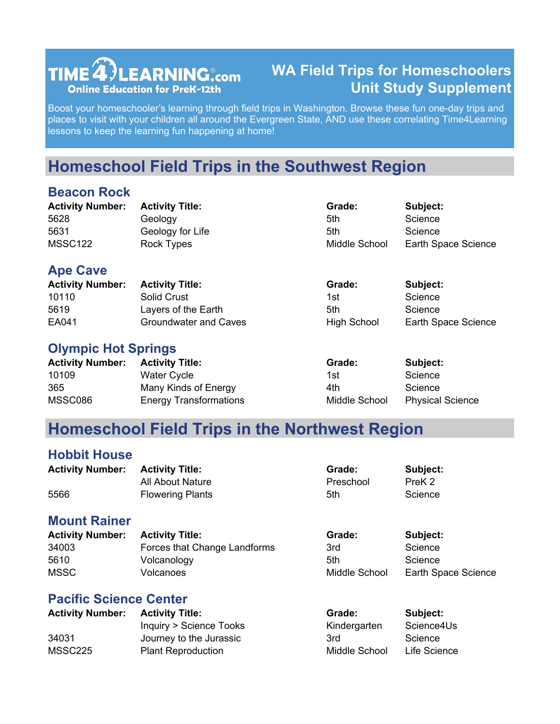# TIME  $\widehat{\mathbf{4}}$  LEARNING  $_{\mathsf{com}}$ **Online Education for PreK-12th**

## **WA Field Trips for Homeschoolers Unit Study Supplement**

Boost your homeschooler's learning through field trips in Washington. Browse these fun one-day trips and places to visit with your children all around the Evergreen State, AND use these correlating Time4Learning lessons to keep the learning fun happening at home!

# **Homeschool Field Trips in the Southwest Region**

## **Beacon Rock**

| <b>Activity Number:</b>    | <b>Activity Title:</b>       | Grade:             | Subject:            |
|----------------------------|------------------------------|--------------------|---------------------|
| 5628                       | Geology                      | 5th                | Science             |
| 5631                       | Geology for Life             | 5th                | Science             |
| <b>MSSC122</b>             | <b>Rock Types</b>            | Middle School      | Earth Space Science |
| <b>Ape Cave</b>            |                              |                    |                     |
| <b>Activity Number:</b>    | <b>Activity Title:</b>       | Grade:             | Subject:            |
| 10110                      | Solid Crust                  | 1st                | Science             |
| 5619                       | Layers of the Earth          | 5th                | Science             |
| EA041                      | <b>Groundwater and Caves</b> | <b>High School</b> | Earth Space Science |
| <b>Olympic Hot Springs</b> |                              |                    |                     |
| <b>Activity Number:</b>    | <b>Activity Title:</b>       | Grade:             | Subject:            |
| 10109                      | <b>Water Cycle</b>           | 1st                | Science             |
| 365                        | Many Kinds of Energy         | 4th                | Science             |

## **Homeschool Field Trips in the Northwest Region**

#### **Hobbit House**

| <b>Activity Number: Activity Title:</b> |                         | Grade:    | Subject:          |
|-----------------------------------------|-------------------------|-----------|-------------------|
|                                         | All About Nature        | Preschool | PreK <sub>2</sub> |
| 5566                                    | <b>Flowering Plants</b> | 5th       | Science           |

MSSC086 Energy Transformations Middle School Physical Science

### **Mount Rainer**

| <b>Activity Number:</b> | <b>Activity Title:</b>       | Grade:        | Subject:            |
|-------------------------|------------------------------|---------------|---------------------|
| 34003                   | Forces that Change Landforms | 3rd           | Science             |
| 5610                    | Volcanology                  | 5th           | Science             |
| <b>MSSC</b>             | Volcanoes                    | Middle School | Earth Space Science |

## **Pacific Science Center**

| <b>Activity Number:</b> | <b>Activity Title:</b>    | Grade:        | Subject:     |
|-------------------------|---------------------------|---------------|--------------|
|                         | Inquiry > Science Tooks   | Kindergarten  | Science4Us   |
| 34031                   | Journey to the Jurassic   | 3rd           | Science      |
| MSSC225                 | <b>Plant Reproduction</b> | Middle School | Life Science |